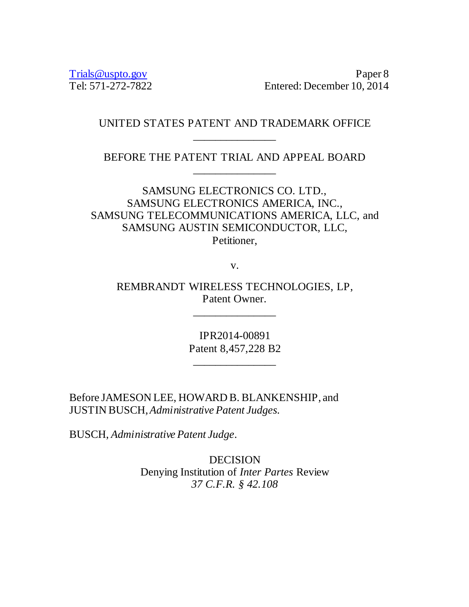Trials @uspto.gov<br>Tel: 571-272-7822 Paper 8 Paper 8 Paper 8 Paper 8 Paper 8 Paper 8 Paper 8 Paper 8 Paper 8 Paper 8 Paper 8 Paper 8 Paper 8 Paper 8 Paper 8 Paper 8 Paper 8 Paper 8 Pape Entered: December 10, 2014

# UNITED STATES PATENT AND TRADEMARK OFFICE \_\_\_\_\_\_\_\_\_\_\_\_\_\_\_

BEFORE THE PATENT TRIAL AND APPEAL BOARD \_\_\_\_\_\_\_\_\_\_\_\_\_\_\_

SAMSUNG ELECTRONICS CO. LTD., SAMSUNG ELECTRONICS AMERICA, INC., SAMSUNG TELECOMMUNICATIONS AMERICA, LLC, and SAMSUNG AUSTIN SEMICONDUCTOR, LLC, Petitioner,

v.

REMBRANDT WIRELESS TECHNOLOGIES, LP, Patent Owner.

\_\_\_\_\_\_\_\_\_\_\_\_\_\_\_

IPR2014-00891 Patent 8,457,228 B2

\_\_\_\_\_\_\_\_\_\_\_\_\_\_\_

Before JAMESON LEE, HOWARD B. BLANKENSHIP, and JUSTIN BUSCH,*Administrative Patent Judges.* 

BUSCH, *Administrative Patent Judge*.

DECISION Denying Institution of *Inter Partes* Review *37 C.F.R. § 42.108*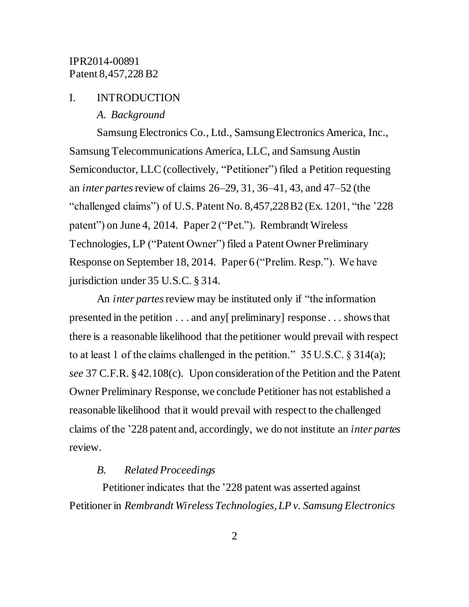#### I. INTRODUCTION

*A. Background*

Samsung Electronics Co., Ltd., Samsung Electronics America, Inc., Samsung Telecommunications America, LLC, and Samsung Austin Semiconductor, LLC (collectively, "Petitioner") filed a Petition requesting an *inter partes*review of claims 26–29, 31, 36–41, 43, and 47–52 (the "challenged claims") of U.S. Patent No. 8,457,228B2 (Ex. 1201, "the '228 patent") on June 4, 2014. Paper 2 ("Pet."). Rembrandt Wireless Technologies, LP ("Patent Owner") filed a Patent Owner Preliminary Response on September 18, 2014. Paper 6 ("Prelim. Resp."). We have jurisdiction under 35 U.S.C. § 314.

An *inter partes* review may be instituted only if "the information" presented in the petition . . . and any[ preliminary] response . . . shows that there is a reasonable likelihood that the petitioner would prevail with respect to at least 1 of the claims challenged in the petition." 35 U.S.C. § 314(a); *see* 37 C.F.R. §42.108(c). Upon consideration of the Petition and the Patent Owner Preliminary Response, we conclude Petitioner has not established a reasonable likelihood that it would prevail with respect to the challenged claims of the '228 patent and, accordingly, we do not institute an *inter partes* review.

#### *B. Related Proceedings*

Petitioner indicates that the '228 patent was asserted against Petitioner in *Rembrandt Wireless Technologies, LP v. Samsung Electronics*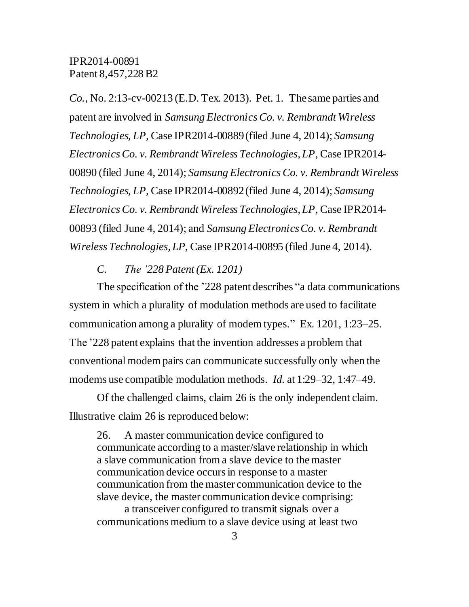*Co.*, No. 2:13-cv-00213 (E.D. Tex. 2013). Pet. 1. The same parties and patent are involved in *Samsung Electronics Co. v. Rembrandt Wireless Technologies, LP*, Case IPR2014-00889(filed June 4, 2014); *Samsung Electronics Co. v. Rembrandt Wireless Technologies, LP*, Case IPR2014- 00890 (filed June 4, 2014); *Samsung Electronics Co. v. Rembrandt Wireless Technologies, LP*, Case IPR2014-00892(filed June 4, 2014); *Samsung Electronics Co. v. Rembrandt Wireless Technologies, LP*, Case IPR2014- 00893 (filed June 4, 2014); and *Samsung Electronics Co. v. Rembrandt Wireless Technologies, LP*, Case IPR2014-00895 (filed June 4, 2014).

*C. The '228 Patent (Ex. 1201)*

The specification of the '228 patent describes "a data communications system in which a plurality of modulation methods are used to facilitate communication among a plurality of modem types." Ex. 1201, 1:23–25. The '228 patent explains that the invention addresses a problem that conventional modem pairs can communicate successfully only when the modems use compatible modulation methods. *Id.* at 1:29–32, 1:47–49.

Of the challenged claims, claim 26 is the only independent claim. Illustrative claim 26 is reproduced below:

26. A master communication device configured to communicate according to a master/slave relationship in which a slave communication from a slave device to the master communication device occurs in response to a master communication from the master communication device to the slave device, the master communication device comprising: a transceiver configured to transmit signals over a communications medium to a slave device using at least two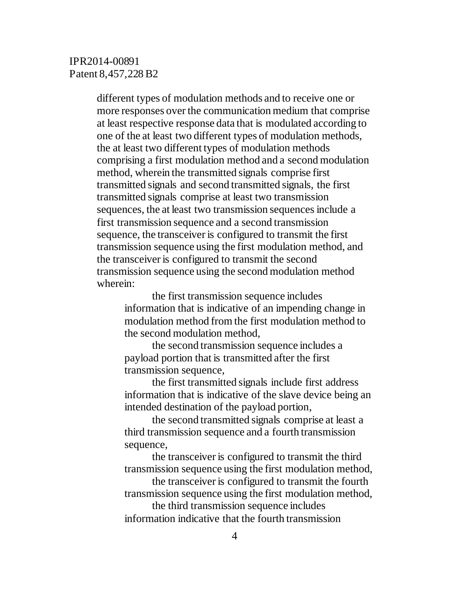different types of modulation methods and to receive one or more responses over the communication medium that comprise at least respective response data that is modulated according to one of the at least two different types of modulation methods, the at least two different types of modulation methods comprising a first modulation method and a second modulation method, wherein the transmitted signals comprise first transmitted signals and second transmitted signals, the first transmitted signals comprise at least two transmission sequences, the at least two transmission sequences include a first transmission sequence and a second transmission sequence, the transceiver is configured to transmit the first transmission sequence using the first modulation method, and the transceiver is configured to transmit the second transmission sequence using the second modulation method wherein:

the first transmission sequence includes information that is indicative of an impending change in modulation method from the first modulation method to the second modulation method,

the second transmission sequence includes a payload portion that is transmitted after the first transmission sequence,

the first transmitted signals include first address information that is indicative of the slave device being an intended destination of the payload portion,

the second transmitted signals comprise at least a third transmission sequence and a fourth transmission sequence,

the transceiver is configured to transmit the third transmission sequence using the first modulation method,

the transceiver is configured to transmit the fourth transmission sequence using the first modulation method,

the third transmission sequence includes information indicative that the fourth transmission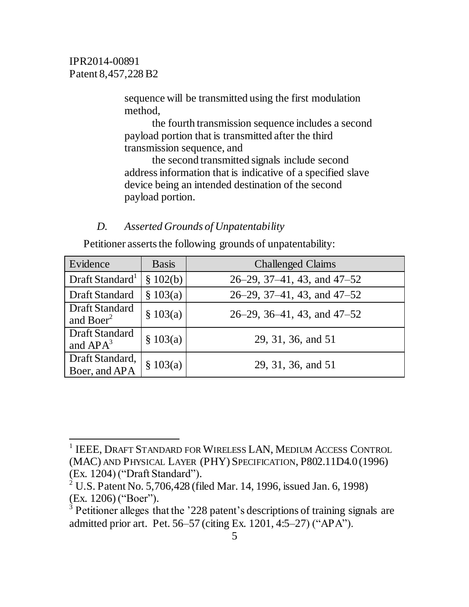l

sequence will be transmitted using the first modulation method,

the fourth transmission sequence includes a second payload portion that is transmitted after the third transmission sequence, and

the second transmitted signals include second addressinformation that is indicative of a specified slave device being an intended destination of the second payload portion.

#### *D. Asserted Grounds of Unpatentability*

Petitioner asserts the following grounds of unpatentability:

| Evidence                                | <b>Basis</b> | <b>Challenged Claims</b>               |
|-----------------------------------------|--------------|----------------------------------------|
| Draft Standard <sup>1</sup>             | \$102(b)     | $26-29$ , $37-41$ , $43$ , and $47-52$ |
| <b>Draft Standard</b>                   | \$103(a)     | $26-29$ , $37-41$ , $43$ , and $47-52$ |
| Draft Standard<br>and Boer <sup>2</sup> | \$103(a)     | $26-29$ , 36-41, 43, and 47-52         |
| Draft Standard<br>and $APA^3$           | \$103(a)     | 29, 31, 36, and 51                     |
| Draft Standard,<br>Boer, and APA        | \$103(a)     | 29, 31, 36, and 51                     |

<sup>1</sup> IEEE, DRAFT STANDARD FOR WIRELESS LAN, MEDIUM ACCESS CONTROL (MAC) AND PHYSICAL LAYER (PHY) SPECIFICATION, P802.11D4.0(1996) (Ex. 1204) ("Draft Standard").

<sup>2</sup> U.S. Patent No. 5,706,428 (filed Mar. 14, 1996, issued Jan. 6, 1998) (Ex. 1206) ("Boer").

 $3$  Petitioner alleges that the '228 patent's descriptions of training signals are admitted prior art. Pet. 56–57 (citing Ex. 1201, 4:5–27) ("APA").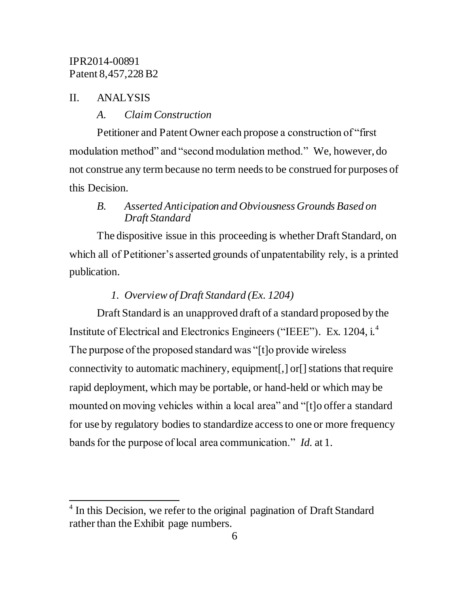#### II. ANALYSIS

l

#### *A. Claim Construction*

Petitioner and Patent Owner each propose a construction of "first modulation method" and "second modulation method." We, however, do not construe any term because no term needs to be construed for purposes of this Decision.

## *B. Asserted Anticipation and Obviousness Grounds Based on Draft Standard*

The dispositive issue in this proceeding is whether Draft Standard, on which all of Petitioner's asserted grounds of unpatentability rely, is a printed publication.

## *1. Overview of Draft Standard (Ex. 1204)*

Draft Standard is an unapproved draft of a standard proposed by the Institute of Electrical and Electronics Engineers ("IEEE"). Ex. 1204, i.<sup>4</sup> The purpose of the proposed standard was "[t]o provide wireless connectivity to automatic machinery, equipment[,] or [] stations that require rapid deployment, which may be portable, or hand-held or which may be mounted on moving vehicles within a local area" and "[t]o offer a standard for use by regulatory bodies to standardize access to one or more frequency bands for the purpose of local area communication." *Id.* at 1.

<sup>&</sup>lt;sup>4</sup> In this Decision, we refer to the original pagination of Draft Standard rather than the Exhibit page numbers.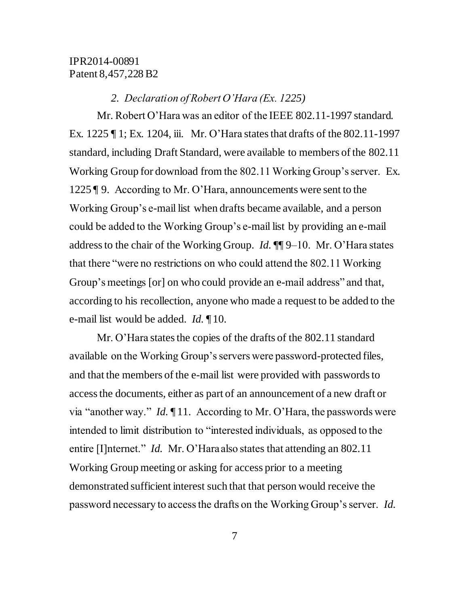#### *2. Declaration of Robert O'Hara (Ex. 1225)*

Mr. Robert O'Hara was an editor of the IEEE 802.11-1997 standard. Ex. 1225  $\P$  1; Ex. 1204, iii. Mr. O'Hara states that drafts of the 802.11-1997 standard, including Draft Standard, were available to members of the 802.11 Working Group for download from the 802.11 Working Group's server. Ex. 1225 ¶ 9. According to Mr. O'Hara, announcements were sent to the Working Group's e-mail list when drafts became available, and a person could be added to the Working Group's e-mail list by providing an e-mail address to the chair of the Working Group. *Id.* ¶¶ 9–10. Mr. O'Hara states that there "were no restrictions on who could attend the 802.11 Working Group's meetings [or] on who could provide an e-mail address" and that, according to his recollection, anyone who made a request to be added to the e-mail list would be added. *Id.* ¶ 10.

Mr. O'Hara states the copies of the drafts of the 802.11 standard available on the Working Group's servers were password-protected files, and that the members of the e-mail list were provided with passwords to access the documents, either as part of an announcement of a new draft or via "another way." *Id.* ¶ 11. According to Mr. O'Hara, the passwords were intended to limit distribution to "interested individuals, as opposed to the entire [I]nternet." *Id.* Mr. O'Hara also states that attending an 802.11 Working Group meeting or asking for access prior to a meeting demonstrated sufficient interest such that that person would receive the password necessary to access the drafts on the Working Group's server. *Id.*

7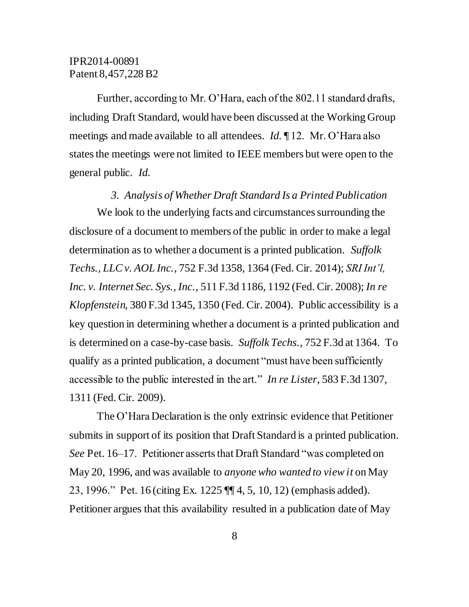Further, according to Mr. O'Hara, each of the 802.11 standard drafts, including Draft Standard, would have been discussed at the Working Group meetings and made available to all attendees. *Id.* ¶ 12. Mr. O'Hara also states the meetings were not limited to IEEE members but were open to the general public. *Id.*

#### *3. Analysis of Whether Draft Standard Is a Printed Publication*

We look to the underlying facts and circumstances surrounding the disclosure of a document to members of the public in order to make a legal determination as to whether a document is a printed publication. *Suffolk Techs., LLC v. AOL Inc.*, 752 F.3d 1358, 1364 (Fed. Cir. 2014); *SRI Int'l, Inc. v. Internet Sec. Sys., Inc.*, 511 F.3d 1186, 1192 (Fed. Cir. 2008); *In re Klopfenstein*, 380 F.3d 1345, 1350 (Fed. Cir. 2004). Public accessibility is a key question in determining whether a document is a printed publication and is determined on a case-by-case basis. *Suffolk Techs.*, 752 F.3d at 1364. To qualify as a printed publication, a document "must have been sufficiently accessible to the public interested in the art." *In re Lister*, 583 F.3d 1307, 1311 (Fed. Cir. 2009).

The O'Hara Declaration is the only extrinsic evidence that Petitioner submits in support of its position that Draft Standard is a printed publication. *See* Pet. 16–17. Petitioner asserts that Draft Standard "was completed on May 20, 1996, and was available to *anyone who wanted to view it* on May 23, 1996." Pet. 16 (citing Ex. 1225 ¶¶ 4, 5, 10, 12) (emphasis added). Petitioner argues that this availability resulted in a publication date of May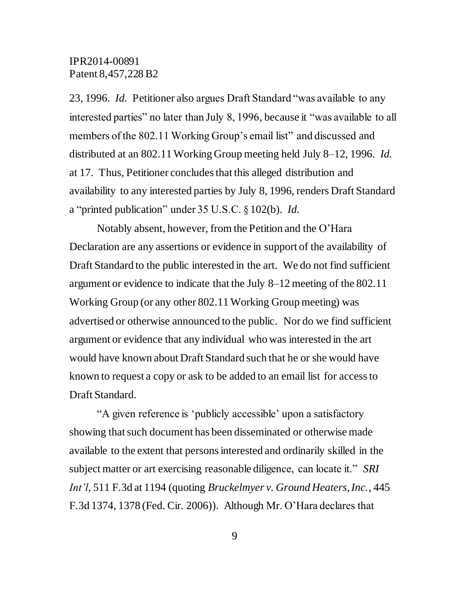23, 1996. *Id.* Petitioner also argues Draft Standard "was available to any interested parties" no later than July 8, 1996, because it "was available to all members of the 802.11 Working Group's email list" and discussed and distributed at an 802.11 Working Group meeting held July 8–12, 1996. *Id.* at 17. Thus, Petitioner concludes that this alleged distribution and availability to any interested parties by July 8, 1996, renders Draft Standard a "printed publication" under 35 U.S.C. §102(b). *Id.*

Notably absent, however, from the Petition and the O'Hara Declaration are any assertions or evidence in support of the availability of Draft Standard to the public interested in the art. We do not find sufficient argument or evidence to indicate that the July 8–12 meeting of the 802.11 Working Group (or any other 802.11 Working Group meeting) was advertised or otherwise announced to the public. Nor do we find sufficient argument or evidence that any individual who was interested in the art would have known about Draft Standard such that he or she would have known to request a copy or ask to be added to an email list for access to Draft Standard.

"A given reference is 'publicly accessible' upon a satisfactory showing that such document has been disseminated or otherwise made available to the extent that persons interested and ordinarily skilled in the subject matter or art exercising reasonable diligence, can locate it." *SRI Int'l*, 511 F.3d at 1194 (quoting *Bruckelmyer v. Ground Heaters, Inc.*, 445 F.3d 1374, 1378 (Fed. Cir. 2006)). Although Mr. O'Hara declares that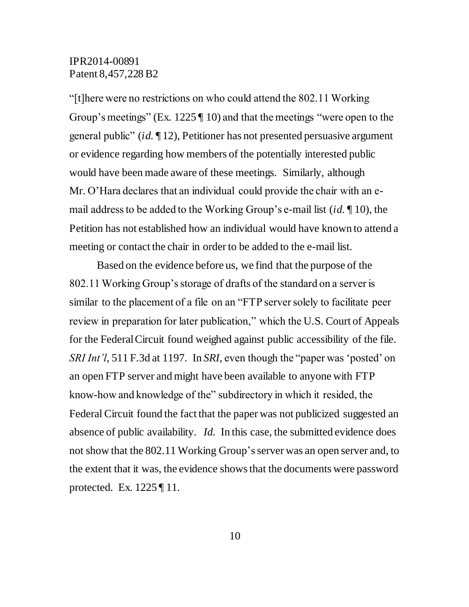"[t]here were no restrictions on who could attend the 802.11 Working Group's meetings" (Ex. 1225 | 10) and that the meetings "were open to the general public" (*id.* ¶ 12), Petitioner has not presented persuasive argument or evidence regarding how members of the potentially interested public would have been made aware of these meetings. Similarly, although Mr. O'Hara declares that an individual could provide the chair with an email address to be added to the Working Group's e-mail list (*id.* ¶ 10), the Petition has not established how an individual would have known to attend a meeting or contact the chair in order to be added to the e-mail list.

Based on the evidence before us, we find that the purpose of the 802.11 Working Group's storage of drafts of the standard on a server is similar to the placement of a file on an "FTP server solely to facilitate peer review in preparation for later publication," which the U.S. Court of Appeals for the Federal Circuit found weighed against public accessibility of the file. *SRI Int'l*, 511 F.3d at 1197. In *SRI*, even though the "paper was 'posted' on an open FTP server and might have been available to anyone with FTP know-how and knowledge of the" subdirectory in which it resided, the Federal Circuit found the fact that the paper was not publicized suggested an absence of public availability. *Id.* In this case, the submitted evidence does not show that the 802.11 Working Group'sserver was an open server and, to the extent that it was, the evidence shows that the documents were password protected. Ex. 1225 ¶ 11.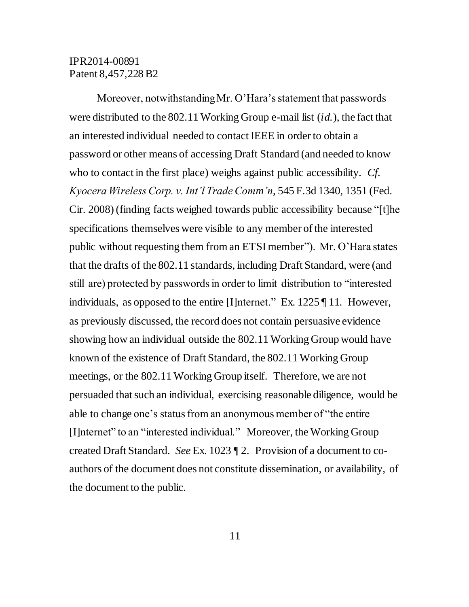Moreover, notwithstanding Mr. O'Hara's statement that passwords were distributed to the 802.11 Working Group e-mail list (*id.*), the fact that an interested individual needed to contact IEEE in order to obtain a password or other means of accessing Draft Standard (and needed to know who to contact in the first place) weighs against public accessibility. *Cf. Kyocera Wireless Corp. v. Int'l Trade Comm'n*, 545 F.3d 1340, 1351 (Fed. Cir. 2008) (finding facts weighed towards public accessibility because "[t]he specifications themselves were visible to any member of the interested public without requesting them from an ETSI member"). Mr. O'Hara states that the drafts of the 802.11 standards, including Draft Standard, were (and still are) protected by passwords in order to limit distribution to "interested individuals, as opposed to the entire [I]nternet." Ex. 1225 ¶ 11*.* However, as previously discussed, the record does not contain persuasive evidence showing how an individual outside the 802.11 Working Group would have known of the existence of Draft Standard, the 802.11 Working Group meetings, or the 802.11 Working Group itself. Therefore, we are not persuaded that such an individual, exercising reasonable diligence, would be able to change one's status from an anonymous member of "the entire [I]nternet" to an "interested individual." Moreover, the Working Group created Draft Standard. *See* Ex. 1023 ¶ 2. Provision of a document to coauthors of the document does not constitute dissemination, or availability, of the document to the public.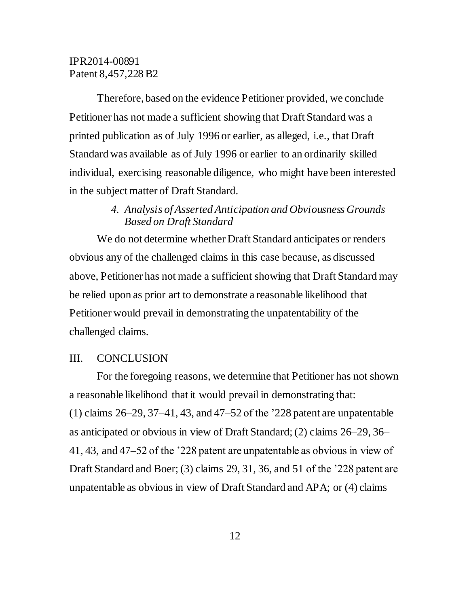Therefore, based on the evidence Petitioner provided, we conclude Petitioner has not made a sufficient showing that Draft Standard was a printed publication as of July 1996 or earlier, as alleged, i.e., that Draft Standard was available as of July 1996 or earlier to an ordinarily skilled individual, exercising reasonable diligence, who might have been interested in the subject matter of Draft Standard.

# *4. Analysis of Asserted Anticipation and Obviousness Grounds Based on Draft Standard*

We do not determine whether Draft Standard anticipates or renders obvious any of the challenged claims in this case because, as discussed above, Petitioner has not made a sufficient showing that Draft Standard may be relied upon as prior art to demonstrate a reasonable likelihood that Petitioner would prevail in demonstrating the unpatentability of the challenged claims.

#### III. CONCLUSION

For the foregoing reasons, we determine that Petitioner has not shown a reasonable likelihood that it would prevail in demonstrating that: (1) claims 26–29, 37–41, 43, and 47–52 of the '228 patent are unpatentable as anticipated or obvious in view of Draft Standard; (2) claims 26–29, 36– 41, 43, and 47–52 of the '228 patent are unpatentable as obvious in view of Draft Standard and Boer; (3) claims 29, 31, 36, and 51 of the '228 patent are unpatentable as obvious in view of Draft Standard and APA; or (4) claims